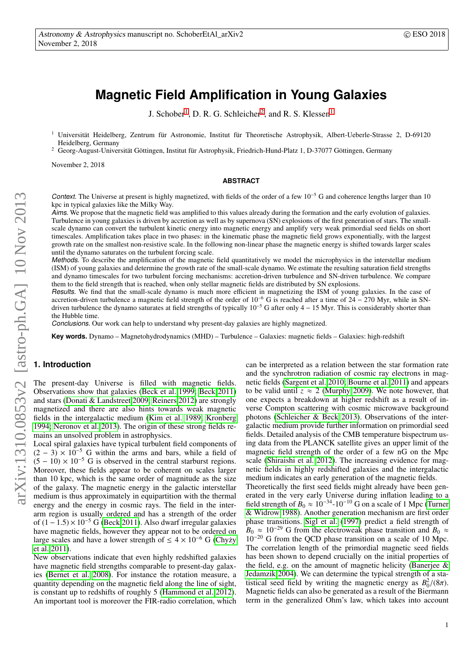# **Magnetic Field Amplification in Young Galaxies**

J. Schober<sup>[1](#page-0-0)</sup>, D. R. G. Schleicher<sup>[2](#page-0-0)</sup>, and R. S. Klessen<sup>1</sup>

<sup>1</sup> Universität Heidelberg, Zentrum für Astronomie, Institut für Theoretische Astrophysik, Albert-Ueberle-Strasse 2, D-69120 Heidelberg, Germany

<span id="page-0-0"></span><sup>2</sup> Georg-August-Universität Göttingen, Institut für Astrophysik, Friedrich-Hund-Platz 1, D-37077 Göttingen, Germany

November 2, 2018

## **ABSTRACT**

Context. The Universe at present is highly magnetized, with fields of the order of a few  $10^{-5}$  G and coherence lengths larger than 10 kpc in typical galaxies like the Milky Way.

Aims. We propose that the magnetic field was amplified to this values already during the formation and the early evolution of galaxies. Turbulence in young galaxies is driven by accretion as well as by supernova (SN) explosions of the first generation of stars. The smallscale dynamo can convert the turbulent kinetic energy into magnetic energy and amplify very weak primordial seed fields on short timescales. Amplification takes place in two phases: in the kinematic phase the magnetic field grows exponentially, with the largest growth rate on the smallest non-resistive scale. In the following non-linear phase the magnetic energy is shifted towards larger scales until the dynamo saturates on the turbulent forcing scale.

Methods. To describe the amplification of the magnetic field quantitatively we model the microphysics in the interstellar medium (ISM) of young galaxies and determine the growth rate of the small-scale dynamo. We estimate the resulting saturation field strengths and dynamo timescales for two turbulent forcing mechanisms: accretion-driven turbulence and SN-driven turbulence. We compare them to the field strength that is reached, when only stellar magnetic fields are distributed by SN explosions.

Results. We find that the small-scale dynamo is much more efficient in magnetizing the ISM of young galaxies. In the case of accretion-driven turbulence a magnetic field strength of the order of  $10^{-6}$  G is reached after a time of  $24 - 270$  Myr, while in SNdriven turbulence the dynamo saturates at field strengths of typically  $10^{-5}$  G after only 4 – 15 Myr. This is considerably shorter than the Hubble time.

Conclusions. Our work can help to understand why present-day galaxies are highly magnetized.

**Key words.** Dynamo – Magnetohydrodynamics (MHD) – Turbulence – Galaxies: magnetic fields – Galaxies: high-redshift

# **1. Introduction**

The present-day Universe is filled with magnetic fields. Observations show that galaxies [\(Beck et al. 1999;](#page-12-0) [Beck 2011\)](#page-12-1) and stars [\(Donati & Landstreet 2009;](#page-12-2) [Reiners 2012\)](#page-12-3) are strongly magnetized and there are also hints towards weak magnetic fields in the intergalactic medium [\(Kim et al. 1989;](#page-12-4) [Kronberg](#page-12-5) [1994;](#page-12-5) [Neronov et al. 2013\)](#page-12-6). The origin of these strong fields remains an unsolved problem in astrophysics.

Local spiral galaxies have typical turbulent field components of  $(2 - 3) \times 10^{-5}$  G within the arms and bars, while a field of  $(5 - 10) \times 10^{-5}$  G is observed in the central starburst regions. Moreover, these fields appear to be coherent on scales larger than 10 kpc, which is the same order of magnitude as the size of the galaxy. The magnetic energy in the galactic interstellar medium is thus approximately in equipartition with the thermal energy and the energy in cosmic rays. The field in the interarm region is usually ordered and has a strength of the order of  $(1 – 1.5) \times 10^{-5}$  G [\(Beck 2011\)](#page-12-1). Also dwarf irregular galaxies have magnetic fields, however they appear not to be ordered on large scales and have a lower strength of  $\leq 4 \times 10^{-6}$  G (Chyży [et al. 2011\)](#page-12-7).

New observations indicate that even highly redshifted galaxies have magnetic field strengths comparable to present-day galaxies [\(Bernet et al. 2008\)](#page-12-8). For instance the rotation measure, a quantity depending on the magnetic field along the line of sight, is constant up to redshifts of roughly 5 [\(Hammond et al. 2012\)](#page-12-9). An important tool is moreover the FIR-radio correlation, which can be interpreted as a relation between the star formation rate and the synchrotron radiation of cosmic ray electrons in magnetic fields [\(Sargent et al. 2010;](#page-12-10) [Bourne et al. 2011\)](#page-12-11) and appears to be valid until  $z \approx 2$  [\(Murphy 2009\)](#page-12-12). We note however, that one expects a breakdown at higher redshift as a result of inverse Compton scattering with cosmic microwave background photons [\(Schleicher & Beck 2013\)](#page-12-13). Observations of the intergalactic medium provide further information on primordial seed fields. Detailed analysis of the CMB temperature bispectrum using data from the PLANCK satellite gives an upper limit of the magnetic field strength of the order of a few nG on the Mpc scale [\(Shiraishi et al. 2012\)](#page-12-14). The increasing evidence for magnetic fields in highly redshifted galaxies and the intergalactic medium indicates an early generation of the magnetic fields.

Theoretically the first seed fields might already have been generated in the very early Universe during inflation leading to a field strength of  $B_0 \approx 10^{-34}$ -10<sup>-10</sup> G on a scale of 1 Mpc [\(Turner](#page-12-15) [& Widrow 1988\)](#page-12-15). Another generation mechanism are first order phase transitions. [Sigl et al.](#page-12-16) [\(1997\)](#page-12-16) predict a field strength of  $B_0 \approx 10^{-29}$  G from the electroweak phase transition and  $B_0 \approx$ 10<sup>−</sup><sup>20</sup> G from the QCD phase transition on a scale of 10 Mpc. The correlation length of the primordial magnetic seed fields has been shown to depend crucially on the initial properties of the field, e.g. on the amount of magnetic helicity [\(Banerjee &](#page-12-17) [Jedamzik 2004\)](#page-12-17). We can determine the typical strength of a statistical seed field by writing the magnetic energy as  $B_0^2/(8\pi)$ .<br>Magnetic fields can also be generated as a result of the Biermann Magnetic fields can also be generated as a result of the Biermann term in the generalized Ohm's law, which takes into account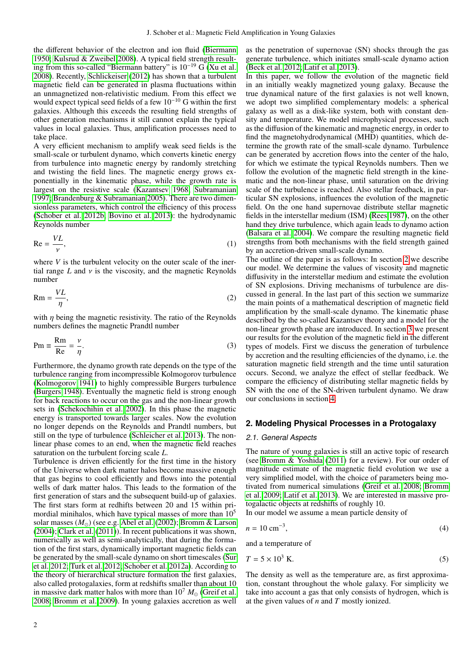the different behavior of the electron and ion fluid [\(Biermann](#page-12-18) [1950;](#page-12-18) [Kulsrud & Zweibel 2008\)](#page-12-19). A typical field strength resulting from this so-called "Biermann battery" is 10−<sup>19</sup> G [\(Xu et al.](#page-12-20) [2008\)](#page-12-20). Recently, [Schlickeiser](#page-12-21) [\(2012\)](#page-12-21) has shown that a turbulent magnetic field can be generated in plasma fluctuations within an unmagnetized non-relativistic medium. From this effect we would expect typical seed fields of a few  $10^{-10}$  G within the first galaxies. Although this exceeds the resulting field strengths of other generation mechanisms it still cannot explain the typical values in local galaxies. Thus, amplification processes need to take place.

A very efficient mechanism to amplify weak seed fields is the small-scale or turbulent dynamo, which converts kinetic energy from turbulence into magnetic energy by randomly stretching and twisting the field lines. The magnetic energy grows exponentially in the kinematic phase, while the growth rate is largest on the resistive scale [\(Kazantsev 1968;](#page-12-22) [Subramanian](#page-12-23) [1997;](#page-12-23) [Brandenburg & Subramanian 2005\)](#page-12-24). There are two dimensionless parameters, which control the efficiency of this process [\(Schober et al. 2012b;](#page-12-25) [Bovino et al. 2013\)](#page-12-26): the hydrodynamic Reynolds number

<span id="page-1-2"></span>
$$
Re = \frac{VL}{\nu},\tag{1}
$$

where *V* is the turbulent velocity on the outer scale of the inertial range  $L$  and  $\nu$  is the viscosity, and the magnetic Reynolds number

$$
Rm = \frac{VL}{\eta},\tag{2}
$$

with  $\eta$  being the magnetic resistivity. The ratio of the Reynolds<br>numbers defines the magnetic Prandtl number numbers defines the magnetic Prandtl number

<span id="page-1-1"></span>
$$
Pm \equiv \frac{Rm}{Re} = \frac{\nu}{\eta}.
$$
 (3)

Furthermore, the dynamo growth rate depends on the type of the turbulence ranging from incompressible Kolmogorov turbulence [\(Kolmogorov 1941\)](#page-12-27) to highly compressible Burgers turbulence [\(Burgers 1948\)](#page-12-28). Eventually the magnetic field is strong enough for back reactions to occur on the gas and the non-linear growth sets in [\(Schekochihin et al. 2002\)](#page-12-29). In this phase the magnetic energy is transported towards larger scales. Now the evolution no longer depends on the Reynolds and Prandtl numbers, but still on the type of turbulence [\(Schleicher et al. 2013\)](#page-12-30). The nonlinear phase comes to an end, when the magnetic field reaches saturation on the turbulent forcing scale *L*.

Turbulence is driven efficiently for the first time in the history of the Universe when dark matter halos become massive enough that gas begins to cool efficiently and flows into the potential wells of dark matter halos. This leads to the formation of the first generation of stars and the subsequent build-up of galaxies. The first stars form at redhifts between 20 and 15 within primordial minihalos, which have typical masses of more than  $10<sup>5</sup>$ solar masses  $(M<sub>o</sub>)$  (see e.g. [Abel et al.](#page-12-31) [\(2002\)](#page-12-31); [Bromm & Larson](#page-12-32) [\(2004\)](#page-12-32); [Clark et al.](#page-12-33) [\(2011\)](#page-12-33)). In recent publications it was shown, numerically as well as semi-analytically, that during the formation of the first stars, dynamically important magnetic fields can be generated by the small-scale dynamo on short timescales [\(Sur](#page-12-34) [et al. 2012;](#page-12-34) [Turk et al. 2012;](#page-12-35) [Schober et al. 2012a\)](#page-12-36). According to the theory of hierarchical structure formation the first galaxies, also called protogalaxies, form at redshifts smaller than about 10 in massive dark matter halos with more than  $10^7 M_{\odot}$  [\(Greif et al.](#page-12-37) [2008;](#page-12-37) [Bromm et al. 2009\)](#page-12-38). In young galaxies accretion as well as the penetration of supernovae (SN) shocks through the gas generate turbulence, which initiates small-scale dynamo action [\(Beck et al. 2012;](#page-12-39) [Latif et al. 2013\)](#page-12-40).

In this paper, we follow the evolution of the magnetic field in an initially weakly magnetized young galaxy. Because the true dynamical nature of the first galaxies is not well known, we adopt two simplified complementary models: a spherical galaxy as well as a disk-like system, both with constant density and temperature. We model microphysical processes, such as the diffusion of the kinematic and magnetic energy, in order to find the magnetohydrodynamical (MHD) quantities, which determine the growth rate of the small-scale dynamo. Turbulence can be generated by accretion flows into the center of the halo, for which we estimate the typical Reynolds numbers. Then we follow the evolution of the magnetic field strength in the kinematic and the non-linear phase, until saturation on the driving scale of the turbulence is reached. Also stellar feedback, in particular SN explosions, influences the evolution of the magnetic field. On the one hand supernovae distribute stellar magnetic fields in the interstellar medium (ISM) [\(Rees 1987\)](#page-12-41), on the other hand they drive turbulence, which again leads to dynamo action [\(Balsara et al. 2004\)](#page-12-42). We compare the resulting magnetic field strengths from both mechanisms with the field strength gained by an accretion-driven small-scale dynamo.

The outline of the paper is as follows: In section [2](#page-1-0) we describe our model. We determine the values of viscosity and magnetic diffusivity in the interstellar medium and estimate the evolution of SN explosions. Driving mechanisms of turbulence are discussed in general. In the last part of this section we summarize the main points of a mathematical description of magnetic field amplification by the small-scale dynamo. The kinematic phase described by the so-called Kazantsev theory and a model for the non-linear growth phase are introduced. In section [3](#page-5-0) we present our results for the evolution of the magnetic field in the different types of models. First we discuss the generation of turbulence by accretion and the resulting efficiencies of the dynamo, i.e. the saturation magnetic field strength and the time until saturation occurs. Second, we analyze the effect of stellar feedback. We compare the efficiency of distributing stellar magnetic fields by SN with the one of the SN-driven turbulent dynamo. We draw our conclusions in section [4.](#page-11-0)

## <span id="page-1-0"></span>**2. Modeling Physical Processes in a Protogalaxy**

#### <span id="page-1-3"></span>2.1. General Aspects

The nature of young galaxies is still an active topic of research (see [Bromm & Yoshida](#page-12-43) [\(2011\)](#page-12-43) for a review). For our order of magnitude estimate of the magnetic field evolution we use a very simplified model, with the choice of parameters being motivated from numerical simulations [\(Greif et al. 2008;](#page-12-37) [Bromm](#page-12-38) [et al. 2009;](#page-12-38) [Latif et al. 2013\)](#page-12-40). We are interested in massive protogalactic objects at redshifts of roughly 10.

In our model we assume a mean particle density of

$$
n = 10 \text{ cm}^{-3},\tag{4}
$$

and a temperature of

$$
T = 5 \times 10^3 \text{ K.}
$$
 (5)

The density as well as the temperature are, as first approximation, constant throughout the whole galaxy. For simplicity we take into account a gas that only consists of hydrogen, which is at the given values of *n* and *T* mostly ionized.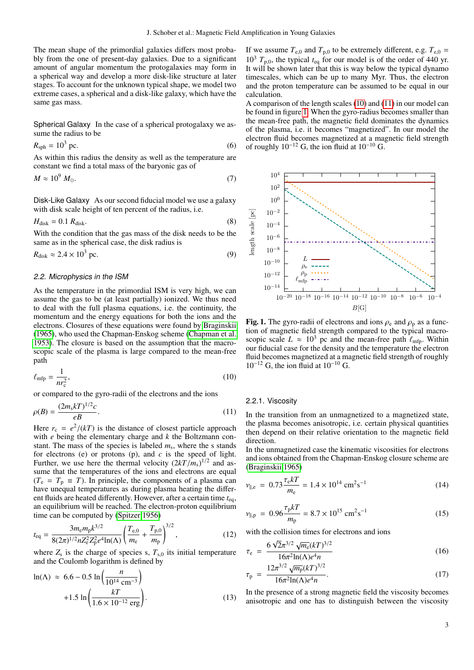The mean shape of the primordial galaxies differs most probably from the one of present-day galaxies. Due to a significant amount of angular momentum the protogalaxies may form in a spherical way and develop a more disk-like structure at later stages. To account for the unknown typical shape, we model two extreme cases, a spherical and a disk-like galaxy, which have the same gas mass.

Spherical Galaxy In the case of a spherical protogalaxy we assume the radius to be

$$
R_{\rm sph} = 10^3 \text{ pc.}
$$
 (6)

<span id="page-2-6"></span> $R_{\rm sph} = 10^3$  pc. (6)<br>As within this radius the density as well as the temperature are constant we find a total mass of the baryonic gas of

$$
M \approx 10^9 \ M_{\odot}.\tag{7}
$$

Disk-Like Galaxy As our second fiducial model we use a galaxy with disk scale height of ten percent of the radius, i.e.

$$
H_{\text{disk}} = 0.1 \ R_{\text{disk}}.\tag{8}
$$

 $H_{\text{disk}} = 0.1 R_{\text{disk}}.$  (8)<br>With the condition that the gas mass of the disk needs to be the same as in the spherical case, the disk radius is

<span id="page-2-7"></span>
$$
R_{\text{disk}} \approx 2.4 \times 10^3 \text{ pc.}
$$
 (9)

#### <span id="page-2-5"></span>2.2. Microphysics in the ISM

As the temperature in the primordial ISM is very high, we can assume the gas to be (at least partially) ionized. We thus need to deal with the full plasma equations, i.e. the continuity, the momentum and the energy equations for both the ions and the electrons. Closures of these equations were found by [Braginskii](#page-12-44) [\(1965\)](#page-12-44), who used the Chapman-Enskog scheme [\(Chapman et al.](#page-12-45) [1953\)](#page-12-45). The closure is based on the assumption that the macroscopic scale of the plasma is large compared to the mean-free path

<span id="page-2-0"></span>
$$
\ell_{\rm mfp} = \frac{1}{nr_{\rm c}^2},\tag{10}
$$

or compared to the gyro-radii of the electrons and the ions

$$
\rho(B) = \frac{(2m_s kT)^{1/2}c}{eB}.\tag{11}
$$

<span id="page-2-1"></span>Here  $r_c = e^2/(kT)$  is the distance of closest particle approach with e being the elementary charge and k the Boltzmann conwith *e* being the elementary charge and *k* the Boltzmann constant. The mass of the species is labeled  $m_s$ , where the s stands for electrons (e) or protons (p), and *c* is the speed of light. Further, we use here the thermal velocity  $(2kT/m<sub>s</sub>)<sup>1/2</sup>$  and as-<br>sume that the temperatures of the ions and electrons are equal sume that the temperatures of the ions and electrons are equal  $(T_e = T_p \equiv T)$ . In principle, the components of a plasma can have unequal temperatures as during plasma heating the different fluids are heated differently. However, after a certain time *t*eq, an equilibrium will be reached. The electron-proton equilibrium time can be computed by [\(Spitzer 1956\)](#page-12-46)

$$
t_{\text{eq}} = \frac{3m_{\text{e}}m_{\text{p}}k^{3/2}}{8(2\pi)^{1/2}nZ_{\text{e}}^2Z_{\text{p}}^2e^4\text{ln}(\Lambda)} \left(\frac{T_{\text{e},0}}{m_{\text{e}}} + \frac{T_{\text{p},0}}{m_{\text{p}}}\right)^{3/2},\tag{12}
$$

where  $Z_s$  is the charge of species s,  $T_{s,0}$  its initial temperature<br>and the Coulomb logarithm is defined by and the Coulomb logarithm is defined by

$$
\ln(\Lambda) \approx 6.6 - 0.5 \ln \left( \frac{n}{10^{14} \text{ cm}^{-3}} \right) + 1.5 \ln \left( \frac{kT}{1.6 \times 10^{-12} \text{ erg}} \right).
$$
 (13)

If we assume  $T_{e,0}$  and  $T_{p,0}$  to be extremely different, e.g.  $T_{e,0}$  =  $10^3$   $T_{p,0}$ , the typical  $t_{eq}$  for our model is of the order of 440 yr. It will be shown later that this is way below the typical dynamo timescales, which can be up to many Myr. Thus, the electron and the proton temperature can be assumed to be equal in our calculation.

A comparison of the length scales [\(10\)](#page-2-0) and [\(11\)](#page-2-1) in our model can be found in figure [1.](#page-2-2) When the gyro-radius becomes smaller than the mean-free path, the magnetic field dominates the dynamics of the plasma, i.e. it becomes "magnetized". In our model the electron fluid becomes magnetized at a magnetic field strength of roughly  $10^{-12}$  G, the ion fluid at  $10^{-10}$  G.



<span id="page-2-2"></span>Fig. 1. The gyro-radii of electrons and ions  $\rho_e$  and  $\rho_p$  as a function of magnetic field strength compared to the typical macroscopic scale  $L \approx 10^3$  pc and the mean-free path  $\ell_{\rm mfp}$ . Within our fiducial case for the density and the temperature the electron fluid becomes magnetized at a magnetic field strength of roughly  $10^{-12}$  G, the ion fluid at  $10^{-10}$  G.

#### 2.2.1. Viscosity

In the transition from an unmagnetized to a magnetized state, the plasma becomes anisotropic, i.e. certain physical quantities then depend on their relative orientation to the magnetic field direction.

In the unmagnetized case the kinematic viscosities for electrons and ions obtained from the Chapman-Enskog closure scheme are [\(Braginskii 1965\)](#page-12-44)

<span id="page-2-3"></span>
$$
\nu_{\parallel, e} = 0.73 \frac{\tau_e kT}{m_e} = 1.4 \times 10^{14} \text{ cm}^2 \text{s}^{-1}
$$
 (14)

<span id="page-2-4"></span>
$$
\nu_{\parallel, \mathrm{p}} = 0.96 \frac{\tau_{\mathrm{p}} kT}{m_{\mathrm{p}}} = 8.7 \times 10^{15} \text{ cm}^2 \text{s}^{-1} \tag{15}
$$

with the collision times for electrons and ions

$$
\tau_{\rm e} = \frac{6\sqrt{2}\pi^{3/2}\sqrt{m_{\rm e}}(kT)^{3/2}}{16\pi^2\ln(\Lambda)e^4n}
$$
(16)

$$
\tau_{\rm p} = \frac{12\pi^{3/2} \sqrt{m_{\rm p}} (kT)^{3/2}}{16\pi^2 \ln(\Lambda)e^4 n}.
$$
\n(17)

<sup>19</sup>  $16\pi^2 \ln(\Lambda)e^4 n$ <br>In the presence of a strong magnetic field the viscosity becomes anisotropic and one has to distinguish between the viscosity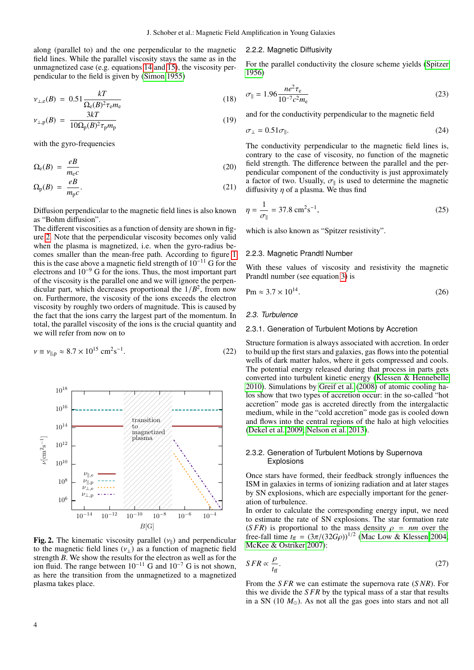$\lambda$ 

along (parallel to) and the one perpendicular to the magnetic field lines. While the parallel viscosity stays the same as in the unmagnetized case (e.g. equations [14](#page-2-3) and [15\)](#page-2-4), the viscosity perpendicular to the field is given by [\(Simon 1955\)](#page-12-47)

$$
\nu_{\perp,e}(B) = 0.51 \frac{kT}{\Omega_e(B)^2 \tau_e m_e} \tag{18}
$$

$$
\nu_{\perp,\mathbf{p}}(B) = \frac{3\kappa I}{10\Omega_{\mathbf{p}}(B)^2 \tau_{\mathbf{p}} m_{\mathbf{p}}}
$$
(19)

with the gyro-frequencies

$$
\Omega_{\rm e}(B) = \frac{eB}{m_{\rm e}c} \tag{20}
$$

$$
\Omega_{\rm p}(B) = \frac{eB}{m_{\rm p}c}.\tag{21}
$$

Diffusion perpendicular to the magnetic field lines is also known as "Bohm diffusion".

The different viscosities as a function of density are shown in figure [2.](#page-3-0) Note that the perpendicular viscosity becomes only valid when the plasma is magnetized, i.e. when the gyro-radius becomes smaller than the mean-free path. According to figure [1](#page-2-2) this is the case above a magnetic field strength of  $10^{-11}$  G for the electrons and 10<sup>−</sup><sup>9</sup> G for the ions. Thus, the most important part of the viscosity is the parallel one and we will ignore the perpendicular part, which decreases proportional the  $1/B<sup>2</sup>$ , from now<br>on Furthermore, the viscosity of the ions exceeds the electron on. Furthermore, the viscosity of the ions exceeds the electron viscosity by roughly two orders of magnitude. This is caused by the fact that the ions carry the largest part of the momentum. In total, the parallel viscosity of the ions is the crucial quantity and we will refer from now on to

$$
\nu \equiv \nu_{\parallel, \rm p} \approx 8.7 \times 10^{15} \, \text{cm}^2 \text{s}^{-1}.
$$



<span id="page-3-0"></span>Fig. 2. The kinematic viscosity parallel  $(v_{\parallel})$  and perpendicular to the magnetic field lines  $(v_+)$  as a function of magnetic field strength *B*. We show the results for the electron as well as for the ion fluid. The range between  $10^{-11}$  G and  $10^{-7}$  G is not shown, as here the transition from the unmagnetized to a magnetized plasma takes place.

#### 2.2.2. Magnetic Diffusivity

For the parallel conductivity the closure scheme yields [\(Spitzer](#page-12-46) [1956\)](#page-12-46)

$$
\sigma_{\parallel} = 1.96 \frac{ne^2 \tau_{\rm e}}{10^{-7} c^2 m_{\rm e}} \tag{23}
$$

and for the conductivity perpendicular to the magnetic field

$$
\sigma_{\perp} = 0.51 \sigma_{\parallel}. \tag{24}
$$

The conductivity perpendicular to the magnetic field lines is, contrary to the case of viscosity, no function of the magnetic field strength. The difference between the parallel and the perpendicular component of the conductivity is just approximately a factor of two. Usually,  $\sigma_{\parallel}$  is used to determine the magnetic diffusivity *n* of a plasma. We thus find diffusivity  $\eta$  of a plasma. We thus find

<span id="page-3-1"></span>
$$
\eta = \frac{1}{\sigma_{\parallel}} = 37.8 \, \text{cm}^2 \text{s}^{-1},\tag{25}
$$

which is also known as "Spitzer resistivity".

#### 2.2.3. Magnetic Prandtl Number

With these values of viscosity and resistivity the magnetic Prandtl number (see equation [3\)](#page-1-1) is

$$
Pm \approx 3.7 \times 10^{14}.\tag{26}
$$

#### <span id="page-3-2"></span>2.3. Turbulence

#### 2.3.1. Generation of Turbulent Motions by Accretion

Structure formation is always associated with accretion. In order to build up the first stars and galaxies, gas flows into the potential wells of dark matter halos, where it gets compressed and cools. The potential energy released during that process in parts gets converted into turbulent kinetic energy [\(Klessen & Hennebelle](#page-12-48) [2010\)](#page-12-48). Simulations by [Greif et al.](#page-12-37) [\(2008\)](#page-12-37) of atomic cooling halos show that two types of accretion occur: in the so-called "hot accretion" mode gas is accreted directly from the intergalactic medium, while in the "cold accretion" mode gas is cooled down and flows into the central regions of the halo at high velocities [\(Dekel et al. 2009;](#page-12-49) [Nelson et al. 2013\)](#page-12-50).

## 2.3.2. Generation of Turbulent Motions by Supernova **Explosions**

Once stars have formed, their feedback strongly influences the ISM in galaxies in terms of ionizing radiation and at later stages by SN explosions, which are especially important for the generation of turbulence.

In order to calculate the corresponding energy input, we need to estimate the rate of SN explosions. The star formation rate (*SFR*) is proportional to the mass density  $\rho = nm$  over the free-fall time  $t_{\text{ff}} = (3\pi/(32G\rho))^{1/2}$  [\(Mac Low & Klessen 2004;](#page-12-51)<br>McKee & Ostriker 2007) [McKee & Ostriker 2007\)](#page-12-52):

$$
SFR \propto \frac{\rho}{t_{\rm ff}}.\tag{27}
$$

From the *S FR* we can estimate the supernova rate (*S NR*). For this we divide the *S FR* by the typical mass of a star that results in a SN  $(10 M<sub>o</sub>)$ . As not all the gas goes into stars and not all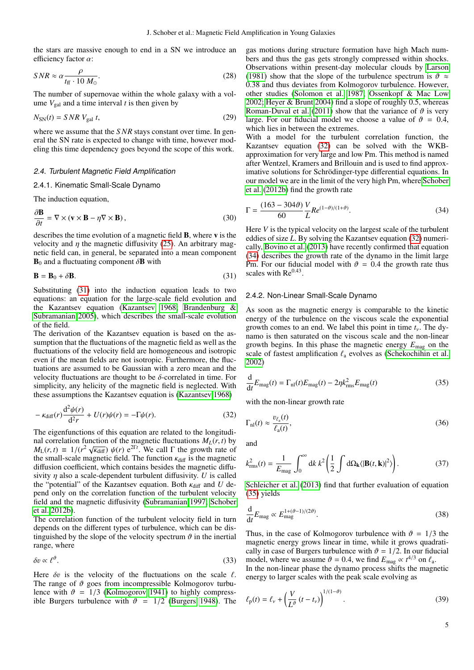the stars are massive enough to end in a SN we introduce an efficiency factor  $\alpha$ :

<span id="page-4-5"></span>
$$
SNR \approx \alpha \frac{\rho}{t_{\text{ff}} \cdot 10 \, M_{\odot}}.\tag{28}
$$

The number of supernovae within the whole galaxy with a volume  $V_{gal}$  and a time interval  $t$  is then given by

$$
N_{\rm SN}(t) = SNR V_{\rm gal} t,\tag{29}
$$

where we assume that the *SNR* stays constant over time. In general the SN rate is expected to change with time, however modeling this time dependency goes beyond the scope of this work.

#### 2.4. Turbulent Magnetic Field Amplification

## 2.4.1. Kinematic Small-Scale Dynamo

The induction equation,

$$
\frac{\partial \mathbf{B}}{\partial t} = \nabla \times (\mathbf{v} \times \mathbf{B} - \eta \nabla \times \mathbf{B}),
$$
\ndescribes the time evolution of a magnetic field **B**, where **v** is the

velocity and  $\eta$  the magnetic diffusivity [\(25\)](#page-3-1). An arbitrary magnetic field can, in general, be separated into a mean component  $B_0$  and a fluctuating component  $\delta B$  with

<span id="page-4-0"></span>
$$
\mathbf{B} = \mathbf{B}_0 + \delta \mathbf{B}.\tag{31}
$$

Substituting [\(31\)](#page-4-0) into the induction equation leads to two equations: an equation for the large-scale field evolution and the Kazantsev equation [\(Kazantsev 1968;](#page-12-22) [Brandenburg &](#page-12-24) [Subramanian 2005\)](#page-12-24), which describes the small-scale evolution of the field.

The derivation of the Kazantsev equation is based on the assumption that the fluctuations of the magnetic field as well as the fluctuations of the velocity field are homogeneous and isotropic even if the mean fields are not isotropic. Furthermore, the fluctuations are assumed to be Gaussian with a zero mean and the velocity fluctuations are thought to be  $\delta$ -correlated in time. For simplicity, any helicity of the magnetic field is neglected. With these assumptions the Kazantsev equation is [\(Kazantsev 1968\)](#page-12-22)

<span id="page-4-1"></span>
$$
-\kappa_{\text{diff}}(r)\frac{\mathrm{d}^2\psi(r)}{\mathrm{d}^2r} + U(r)\psi(r) = -\Gamma\psi(r). \tag{32}
$$

The eigenfunctions of this equation are related to the longitudinal correlation function of the magnetic fluctuations  $M_L(r, t)$  by *M*<sub>L</sub>(*r*, *t*) = 1/(*r*<sup>2</sup>  $\sqrt{\kappa_{diff}}$ ) ψ(*r*) e<sup>2T*t*</sup>. We call Γ the growth rate of the small-scale magnetic field. The function  $\kappa_{diff}$  is the magnetic the small-scale magnetic field. The function  $\kappa_{\text{diff}}$  is the magnetic diffusion coefficient, which contains besides the magnetic diffusivity η also a scale-dependent turbulent diffusivity. *<sup>U</sup>* is called the "potential" of the Kazantsev equation. Both  $\kappa_{\text{diff}}$  and *U* depend only on the correlation function of the turbulent velocity field and the magnetic diffusivity [\(Subramanian 1997;](#page-12-23) [Schober](#page-12-25) [et al. 2012b\)](#page-12-25).

The correlation function of the turbulent velocity field in turn depends on the different types of turbulence, which can be distinguished by the slope of the velocity spectrum  $\vartheta$  in the inertial range, where

$$
\delta v \propto \ell^{\vartheta}.\tag{33}
$$

Here  $\delta v$  is the velocity of the fluctuations on the scale  $\ell$ . The range of  $\vartheta$  goes from incompressible Kolmogorov turbulence with  $\vartheta = 1/3$  [\(Kolmogorov 1941\)](#page-12-27) to highly compressible Burgers turbulence with  $\vartheta = 1/2$  [\(Burgers 1948\)](#page-12-28). The gas motions during structure formation have high Mach numbers and thus the gas gets strongly compressed within shocks. Observations within present-day molecular clouds by [Larson](#page-12-53) [\(1981\)](#page-12-53) show that the slope of the turbulence spectrum is  $\vartheta \approx$ <sup>0</sup>.38 and thus deviates from Kolmogorov turbulence. However, other studies [\(Solomon et al. 1987;](#page-12-54) [Ossenkopf & Mac Low](#page-12-55) [2002;](#page-12-55) [Heyer & Brunt 2004\)](#page-12-56) find a slope of roughly 0.5, whereas [Roman-Duval et al.](#page-12-57) [\(2011\)](#page-12-57) show that the variance of  $\vartheta$  is very large. For our fiducial model we choose a value of  $\vartheta = 0.4$ , which lies in between the extremes.

With a model for the turbulent correlation function, the Kazantsev equation [\(32\)](#page-4-1) can be solved with the WKBapproximation for very large and low Pm. This method is named after Wentzel, Kramers and Brillouin and is used to find approximative solutions for Schrödinger-type differential equations. In our model we are in the limit of the very high Pm, where [Schober](#page-12-25) [et al.](#page-12-25) [\(2012b\)](#page-12-25) find the growth rate

<span id="page-4-2"></span>
$$
\Gamma = \frac{(163 - 304\vartheta)}{60} \frac{V}{L} Re^{(1-\vartheta)/(1+\vartheta)}.
$$
\n(34)

Here *V* is the typical velocity on the largest scale of the turbulent eddies of size *L*. By solving the Kazantsev equation [\(32\)](#page-4-1) numerically, [Bovino et al.](#page-12-26) [\(2013\)](#page-12-26) have recently confirmed that equation [\(34\)](#page-4-2) describes the growth rate of the dynamo in the limit large Pm. For our fiducial model with  $\vartheta = 0.4$  the growth rate thus scales with  $Re<sup>0.43</sup>$ .

#### 2.4.2. Non-Linear Small-Scale Dynamo

As soon as the magnetic energy is comparable to the kinetic energy of the turbulence on the viscous scale the exponential growth comes to an end. We label this point in time  $t<sub>v</sub>$ . The dynamo is then saturated on the viscous scale and the non-linear growth begins. In this phase the magnetic energy *E*mag on the scale of fastest amplification  $\ell_a$  evolves as [\(Schekochihin et al.](#page-12-29) [2002\)](#page-12-29)

<span id="page-4-3"></span>
$$
\frac{\mathrm{d}}{\mathrm{d}t}E_{\rm mag}(t) = \Gamma_{\rm nl}(t)E_{\rm mag}(t) - 2\eta k_{\rm rms}^2 E_{\rm mag}(t) \tag{35}
$$

with the non-linear growth rate

$$
\Gamma_{\rm nl}(t) \approx \frac{v_{\ell_{\rm a}}(t)}{\ell_{\rm a}(t)},\tag{36}
$$

and

$$
k_{\rm rms}^2(t) = \frac{1}{E_{\rm mag}} \int_0^\infty \mathrm{d}k \, k^2 \left( \frac{1}{2} \int \mathrm{d}\Omega_\mathbf{k} \langle |\mathbf{B}(t,\mathbf{k})|^2 \rangle \right). \tag{37}
$$

[Schleicher et al.](#page-12-30) [\(2013\)](#page-12-30) find that further evaluation of equation [\(35\)](#page-4-3) yields

$$
\frac{\mathrm{d}}{\mathrm{d}t}E_{\text{mag}} \propto E_{\text{mag}}^{1+(\vartheta-1)/(2\vartheta)}.\tag{38}
$$

Thus, in the case of Kolmogorov turbulence with  $\vartheta = 1/3$  the magnetic energy grows linear in time, while it grows quadratically in case of Burgers turbulence with  $\vartheta = 1/2$ . In our fiducial model, where we assume  $\vartheta = 0.4$ , we find  $E_{\text{mag}} \propto t^{4/3}$  on  $\ell_a$ .<br>In the non-linear phase the dynamo process shifts the magn

In the non-linear phase the dynamo process shifts the magnetic energy to larger scales with the peak scale evolving as

<span id="page-4-4"></span>
$$
\ell_{\rm p}(t) = \ell_{\nu} + \left(\frac{V}{L^{\vartheta}}\left(t - t_{\nu}\right)\right)^{1/(1-\vartheta)}.\tag{39}
$$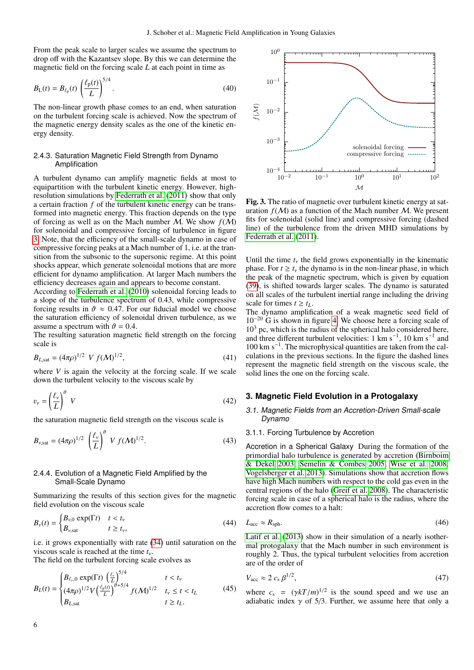From the peak scale to larger scales we assume the spectrum to drop off with the Kazantsev slope. By this we can determine the magnetic field on the forcing scale *L* at each point in time as

$$
B_{L}(t) = B_{\ell_{\rm p}}(t) \left(\frac{\ell_{\rm p}(t)}{L}\right)^{5/4}.
$$
 (40)

The non-linear growth phase comes to an end, when saturation on the turbulent forcing scale is achieved. Now the spectrum of the magnetic energy density scales as the one of the kinetic energy density.

## 2.4.3. Saturation Magnetic Field Strength from Dynamo Amplification

A turbulent dynamo can amplify magnetic fields at most to equipartition with the turbulent kinetic energy. However, highresolution simulations by [Federrath et al.](#page-12-58) [\(2011\)](#page-12-58) show that only a certain fraction *f* of the turbulent kinetic energy can be transformed into magnetic energy. This fraction depends on the type of forcing as well as on the Mach number  $\overline{M}$ . We show  $f(\overline{M})$ for solenoidal and compressive forcing of turbulence in figure [3.](#page-5-1) Note, that the efficiency of the small-scale dynamo in case of compressive forcing peaks at a Mach number of 1, i.e. at the transition from the subsonic to the supersonic regime. At this point shocks appear, which generate solenoidal motions that are more efficient for dynamo amplification. At larger Mach numbers the efficiency decreases again and appears to become constant.

According to [Federrath et al.](#page-12-59) [\(2010\)](#page-12-59) solenoidal forcing leads to a slope of the turbulence spectrum of 0.43, while compressive forcing results in  $\vartheta \approx 0.47$ . For our fiducial model we choose the saturation efficiency of solenoidal driven turbulence, as we assume a spectrum with  $\vartheta = 0.4$ .

The resulting saturation magnetic field strength on the forcing scale is

$$
B_{L, \text{sat}} = (4\pi\rho)^{1/2} \ V f(M)^{1/2}, \tag{41}
$$

where  $V$  is again the velocity at the forcing scale. If we scale down the turbulent velocity to the viscous scale by

$$
v_{\nu} = \left(\frac{\ell_{\nu}}{L}\right)^{\theta} V \tag{42}
$$

the saturation magnetic field strength on the viscous scale is

$$
B_{\nu, \text{sat}} = (4\pi\rho)^{1/2} \left(\frac{\ell_{\nu}}{L}\right)^{\vartheta} V f(M)^{1/2}.
$$
 (43)

## 2.4.4. Evolution of a Magnetic Field Amplified by the Small-Scale Dynamo

Summarizing the results of this section gives for the magnetic field evolution on the viscous scale

<span id="page-5-3"></span>
$$
B_{\nu}(t) = \begin{cases} B_{\nu,0} \exp(\Gamma t) & t < t_{\nu} \\ B_{\nu, \text{sat}} & t \ge t_{\nu}, \end{cases} \tag{44}
$$

i.e. it grows exponentially with rate [\(34\)](#page-4-2) until saturation on the viscous scale is reached at the time *<sup>t</sup>*ν.

The field on the turbulent forcing scale evolves as

<span id="page-5-4"></span>
$$
B_{L}(t) = \begin{cases} B_{\ell_{\nu},0} \exp(\Gamma t) \left(\frac{\ell_{\nu}}{L}\right)^{5/4} & t < t_{\nu} \\ (4\pi \rho)^{1/2} V \left(\frac{\ell_{\rm p}(t)}{L}\right)^{\vartheta+5/4} f(\mathcal{M})^{1/2} & t_{\nu} \le t < t_{L} \\ B_{L, \text{sat}} & t \ge t_{L}. \end{cases} \tag{45}
$$



<span id="page-5-1"></span>Fig. 3. The ratio of magnetic over turbulent kinetic energy at saturation  $f(M)$  as a function of the Mach number M. We present fits for solenoidal (solid line) and compressive forcing (dashed line) of the turbulence from the driven MHD simulations by [Federrath et al.](#page-12-58) [\(2011\)](#page-12-58).

Until the time  $t<sub>v</sub>$  the field grows exponentially in the kinematic phase. For  $t \geq t_{\nu}$  the dynamo is in the non-linear phase, in which the peak of the magnetic spectrum, which is given by equation [\(39\)](#page-4-4), is shifted towards larger scales. The dynamo is saturated on all scales of the turbulent inertial range including the driving scale for times  $t \geq t_L$ .

The dynamo amplification of a weak magnetic seed field of 10<sup>−</sup><sup>20</sup> G is shown in figure [4.](#page-6-0) We choose here a forcing scale of 10<sup>3</sup> pc, which is the radius of the spherical halo considered here, and three different turbulent velocities: 1 km s<sup>−</sup><sup>1</sup> , 10 km s<sup>−</sup><sup>1</sup> and 100 km s<sup>−</sup><sup>1</sup> . The microphysical quantities are taken from the calculations in the previous sections. In the figure the dashed lines represent the magnetic field strength on the viscous scale, the solid lines the one on the forcing scale.

## <span id="page-5-0"></span>**3. Magnetic Field Evolution in a Protogalaxy**

## 3.1. Magnetic Fields from an Accretion-Driven Small-scale Dynamo

#### 3.1.1. Forcing Turbulence by Accretion

Accretion in a Spherical Galaxy During the formation of the primordial halo turbulence is generated by accretion [\(Birnboim](#page-12-60) [& Dekel 2003;](#page-12-60) [Semelin & Combes 2005;](#page-12-61) [Wise et al. 2008;](#page-12-62) [Vogelsberger et al. 2013\)](#page-12-63). Simulations show that accretion flows have high Mach numbers with respect to the cold gas even in the central regions of the halo [\(Greif et al. 2008\)](#page-12-37). The characteristic forcing scale in case of a spherical halo is the radius, where the accretion flow comes to a halt:

$$
L_{\rm acc} \approx R_{\rm sph}.\tag{46}
$$

[Latif et al.](#page-12-40) [\(2013\)](#page-12-40) show in their simulation of a nearly isothermal protogalaxy that the Mach number in such environment is roughly 2. Thus, the typical turbulent velocities from accretion are of the order of

<span id="page-5-2"></span>
$$
V_{\text{acc}} \approx 2 c_s \beta^{1/2},\tag{47}
$$

where  $c_s = (\gamma kT/m)^{1/2}$  is the sound speed and we use an adjabatic index  $\gamma$  of 5/3. Further we assume here that only a adiabatic index  $\gamma$  of 5/3. Further, we assume here that only a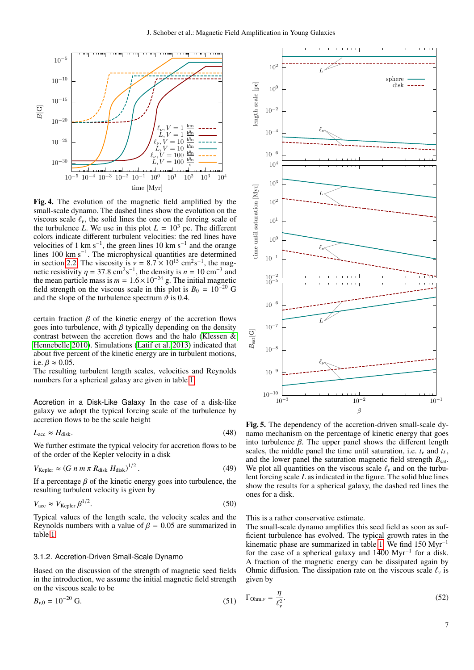

<span id="page-6-0"></span>Fig. 4. The evolution of the magnetic field amplified by the small-scale dynamo. The dashed lines show the evolution on the viscous scale  $\ell_{\nu}$ , the solid lines the one on the forcing scale of the turbulence *L*. We use in this plot  $L = 10^3$  pc. The different colors indicate different turbulent velocities: the red lines have velocities of 1 km s<sup>-1</sup>, the green lines 10 km s<sup>-1</sup> and the orange lines 100 km s<sup>-1</sup>. The microphysical quantities are determined in section [2.2.](#page-2-5) The viscosity is  $v = 8.7 \times 10^{15}$  cm<sup>2</sup>s<sup>-1</sup>, the magnetic resistivity  $n = 37.8$  cm<sup>2</sup>s<sup>-1</sup>, the density is  $n = 10$  cm<sup>-3</sup> and netic resistivity  $\eta = 37.8 \text{ cm}^2 \text{s}^{-1}$ , the density is  $n = 10 \text{ cm}^{-3}$  and<br>the mean particle mass is  $m = 1.6 \times 10^{-24}$  g. The initial magnetic the mean particle mass is  $m = 1.6 \times 10^{-24}$  g. The initial magnetic field strength on the viscous scale in this plot is  $B_0 = 10^{-20}$  G and the slope of the turbulence spectrum  $\vartheta$  is 0.4.

certain fraction  $\beta$  of the kinetic energy of the accretion flows goes into turbulence, with  $\beta$  typically depending on the density contrast between the accretion flows and the halo [\(Klessen &](#page-12-48) [Hennebelle 2010\)](#page-12-48). Simulations [\(Latif et al. 2013\)](#page-12-40) indicated that about five percent of the kinetic energy are in turbulent motions, i.e.  $\beta \approx 0.05$ .

The resulting turbulent length scales, velocities and Reynolds numbers for a spherical galaxy are given in table [1.](#page-7-0)

Accretion in a Disk-Like Galaxy In the case of a disk-like galaxy we adopt the typical forcing scale of the turbulence by accretion flows to be the scale height

$$
L_{\rm acc} \approx H_{\rm disk}.\tag{48}
$$

We further estimate the typical velocity for accretion flows to be of the order of the Kepler velocity in a disk

<span id="page-6-3"></span>
$$
V_{\text{Kepler}} \approx (G \; n \; m \; \pi \; R_{\text{disk}} \; H_{\text{disk}})^{1/2} \,. \tag{49}
$$

If a percentage  $\beta$  of the kinetic energy goes into turbulence, the resulting turbulent velocity is given by

$$
V_{\text{acc}} \approx V_{\text{Kepler}} \beta^{1/2}.
$$

<span id="page-6-1"></span>Typical values of the length scale, the velocity scales and the Reynolds numbers with a value of  $\beta = 0.05$  are summarized in table [1.](#page-7-0)

### 3.1.2. Accretion-Driven Small-Scale Dynamo

Based on the discussion of the strength of magnetic seed fields in the introduction, we assume the initial magnetic field strength on the viscous scale to be

$$
B_{\nu,0} = 10^{-20} \text{ G.}
$$
 (51)



<span id="page-6-2"></span>Fig. 5. The dependency of the accretion-driven small-scale dynamo mechanism on the percentage of kinetic energy that goes into turbulence  $β$ . The upper panel shows the different length scales, the middle panel the time until saturation, i.e.  $t<sub>v</sub>$  and  $t<sub>L</sub>$ , and the lower panel the saturation magnetic field strength  $B_{\text{sat}}$ . We plot all quantities on the viscous scale  $\ell_{\nu}$  and on the turbulent forcing scale *L* as indicated in the figure. The solid blue lines show the results for a spherical galaxy, the dashed red lines the ones for a disk.

This is a rather conservative estimate.

The small-scale dynamo amplifies this seed field as soon as sufficient turbulence has evolved. The typical growth rates in the kinematic phase are summarized in table [1.](#page-7-0) We find 150 Myr<sup>−</sup><sup>1</sup> for the case of a spherical galaxy and 1400 Myr<sup>−</sup><sup>1</sup> for a disk. A fraction of the magnetic energy can be dissipated again by Ohmic diffusion. The dissipation rate on the viscous scale  $\ell_{\nu}$  is given by

$$
\Gamma_{\text{Ohm},\nu} = \frac{\eta}{\ell_{\nu}^2}.\tag{52}
$$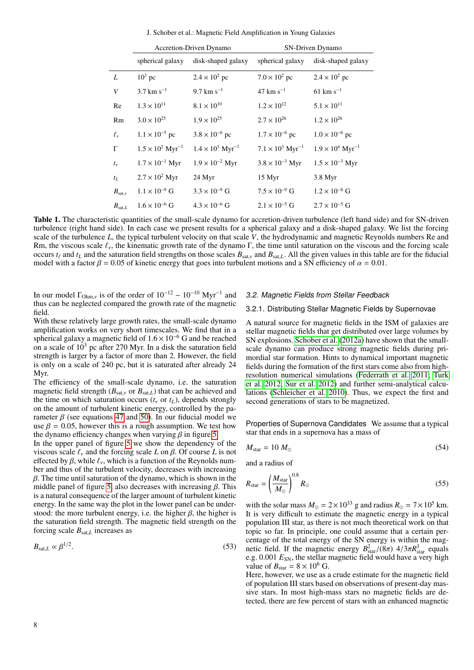J. Schober et al.: Magnetic Field Amplification in Young Galaxies

|                    | Accretion-Driven Dynamo             |                                     | SN-Driven Dynamo                    |                                     |
|--------------------|-------------------------------------|-------------------------------------|-------------------------------------|-------------------------------------|
|                    | spherical galaxy                    | disk-shaped galaxy                  | spherical galaxy                    | disk-shaped galaxy                  |
| L                  | $10^3$ pc                           | $2.4 \times 10^2$ pc                | $7.0 \times 10^2$ pc                | $2.4 \times 10^2$ pc                |
| V                  | $3.7 \text{ km s}^{-1}$             | 9.7 km $s^{-1}$                     | $47 \text{ km s}^{-1}$              | $61 \text{ km s}^{-1}$              |
| Re                 | $1.3 \times 10^{11}$                | $8.1 \times 10^{10}$                | $1.2 \times 10^{12}$                | $5.1 \times 10^{11}$                |
| Rm                 | $3.0 \times 10^{25}$                | $1.9 \times 10^{25}$                | $2.7 \times 10^{26}$                | $1.2 \times 10^{26}$                |
| $\ell_{\nu}$       | $1.1 \times 10^{-5}$ pc             | $3.8 \times 10^{-6}$ pc             | $1.7 \times 10^{-6}$ pc             | $1.0 \times 10^{-6}$ pc             |
| $\Gamma$           | $1.5 \times 10^2$ Myr <sup>-1</sup> | $1.4 \times 10^3$ Myr <sup>-1</sup> | $7.1 \times 10^3$ Myr <sup>-1</sup> | $1.9 \times 10^4$ Myr <sup>-1</sup> |
| $t_{\nu}$          | $1.7 \times 10^{-1}$ Myr            | $1.9 \times 10^{-2}$ Myr            | $3.8 \times 10^{-3}$ Myr            | $1.5 \times 10^{-3}$ Myr            |
| $t_L$              | $2.7 \times 10^2$ Myr               | 24 Myr                              | 15 Myr                              | 3.8 Myr                             |
| $B_{\text{sat,v}}$ | $1.1 \times 10^{-9}$ G              | $3.3 \times 10^{-9}$ G              | $7.5 \times 10^{-9}$ G              | $1.2 \times 10^{-8}$ G              |
| $B_{\text{sat.}L}$ | $1.6 \times 10^{-6}$ G              | $4.3 \times 10^{-6}$ G              | $2.1 \times 10^{-5}$ G              | $2.7 \times 10^{-5}$ G              |
|                    |                                     |                                     |                                     |                                     |

<span id="page-7-0"></span>Table 1. The characteristic quantities of the small-scale dynamo for accretion-driven turbulence (left hand side) and for SN-driven turbulence (right hand side). In each case we present results for a spherical galaxy and a disk-shaped galaxy. We list the forcing scale of the turbulence *L*, the typical turbulent velocity on that scale *V*, the hydrodynamic and magnetic Reynolds numbers Re and Rm, the viscous scale  $\ell_v$ , the kinematic growth rate of the dynamo Γ, the time until saturation on the viscous and the forcing scale occurs  $t_\ell$  and  $t_L$  and the saturation field strengths on those scales  $B_{\text{sat},\nu}$  and  $B_{\text{sat},L}$ . All the given values in this table are for the fiducial model with a factor  $\beta = 0.05$  of kinetic energy that goes into turbulent motions and a SN efficiency of  $\alpha = 0.01$ .

In our model  $\Gamma_{Ohm,y}$  is of the order of  $10^{-12} - 10^{-10}$  Myr<sup>-1</sup> and thus can be neglected compared the growth rate of the magnetic thus can be neglected compared the growth rate of the magnetic field.

With these relatively large growth rates, the small-scale dynamo amplification works on very short timescales. We find that in a spherical galaxy a magnetic field of  $1.6 \times 10^{-6}$  G and be reached on a scale of  $10<sup>3</sup>$  pc after 270 Myr. In a disk the saturation field strength is larger by a factor of more than 2. However, the field is only on a scale of 240 pc, but it is saturated after already 24 Myr.

The efficiency of the small-scale dynamo, i.e. the saturation magnetic field strength ( $B_{\text{sat,v}}$  or  $B_{\text{sat,L}}$ ) that can be achieved and the time on which saturation occurs  $(t<sub>v</sub>$  or  $t<sub>L</sub>$ ), depends strongly on the amount of turbulent kinetic energy, controlled by the parameter  $β$  (see equations [47](#page-5-2) and [50\)](#page-6-1). In our fiducial model we use  $\beta = 0.05$ , however this is a rough assumption. We test how the dynamo efficiency changes when varying  $\beta$  in figure [5.](#page-6-2)

In the upper panel of figure [5](#page-6-2) we show the dependency of the viscous scale  $\ell_{\nu}$  and the forcing scale *L* on  $\beta$ . Of course *L* is not effected by  $\beta$ , while  $\ell_{\nu}$ , which is a function of the Reynolds number and thus of the turbulent velocity, decreases with increasing  $\beta$ . The time until saturation of the dynamo, which is shown in the middle panel of figure [5,](#page-6-2) also decreases with increasing  $\beta$ . This is a natural consequence of the larger amount of turbulent kinetic energy. In the same way the plot in the lower panel can be understood: the more turbulent energy, i.e. the higher  $\beta$ , the higher is the saturation field strength. The magnetic field strength on the forcing scale  $B_{\text{sat,L}}$  increases as

$$
B_{\text{sat},L} \propto \beta^{1/2}.\tag{53}
$$

## 3.2. Magnetic Fields from Stellar Feedback

# 3.2.1. Distributing Stellar Magnetic Fields by Supernovae

A natural source for magnetic fields in the ISM of galaxies are stellar magnetic fields that get distributed over large volumes by SN explosions. [Schober et al.](#page-12-36) [\(2012a\)](#page-12-36) have shown that the smallscale dynamo can produce strong magnetic fields during primordial star formation. Hints to dynamical important magnetic fields during the formation of the first stars come also from highresolution numerical simulations [\(Federrath et al. 2011;](#page-12-64) [Turk](#page-12-35) [et al. 2012;](#page-12-35) [Sur et al. 2012\)](#page-12-34) and further semi-analytical calculations [\(Schleicher et al. 2010\)](#page-12-65). Thus, we expect the first and second generations of stars to be magnetized.

Properties of Supernova Candidates We assume that a typical star that ends in a supernova has a mass of

$$
M_{\text{star}} = 10 M_{\odot} \tag{54}
$$

and a radius of

$$
R_{\rm star} = \left(\frac{M_{\rm star}}{M_{\odot}}\right)^{0.8} R_{\odot} \tag{55}
$$

with the solar mass  $M_{\odot} = 2 \times 10^{33}$  g and radius  $R_{\odot} = 7 \times 10^5$  km. It is very difficult to estimate the magnetic energy in a typical population III star, as there is not much theoretical work on that topic so far. In principle, one could assume that a certain percentage of the total energy of the SN energy is within the magnetic field. If the magnetic energy  $B_{\text{star}}^2/(\overline{8}\pi)$  4/3 $\pi R_{\text{star}}^3$  equals e  $\sigma$  0.001  $F_{\text{ext}}$  the stellar magnetic field would have a very high e.g. 0.001  $E_{SN}$ , the stellar magnetic field would have a very high value of  $B_{\text{star}} = 8 \times 10^6$  G.

Here, however, we use as a crude estimate for the magnetic field of population III stars based on observations of present-day massive stars. In most high-mass stars no magnetic fields are detected, there are few percent of stars with an enhanced magnetic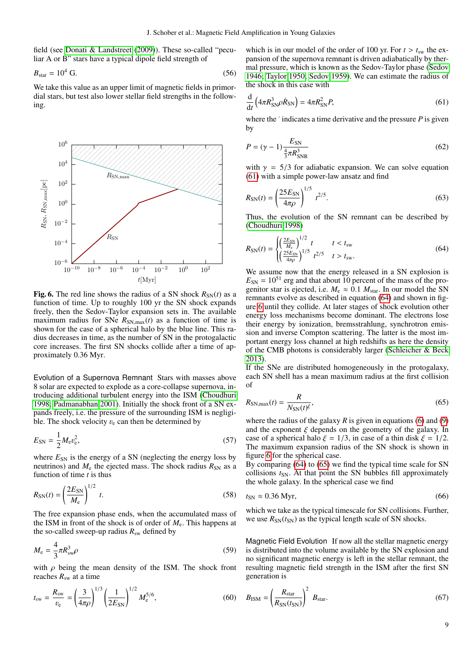field (see [Donati & Landstreet](#page-12-2) [\(2009\)](#page-12-2)). These so-called "peculiar A or B" stars have a typical dipole field strength of

$$
B_{\text{star}} = 10^4 \text{ G.}
$$
 (56)

We take this value as an upper limit of magnetic fields in primordial stars, but test also lower stellar field strengths in the following.



<span id="page-8-2"></span>**Fig. 6.** The red line shows the radius of a SN shock  $R_{SN}(t)$  as a function of time. Up to roughly 100 yr the SN shock expands freely, then the Sedov-Taylor expansion sets in. The available maximum radius for SNe  $R_{SN,max}(t)$  as a function of time is shown for the case of a spherical halo by the blue line. This radius decreases in time, as the number of SN in the protogalactic core increases. The first SN shocks collide after a time of approximately 0.36 Myr.

Evolution of a Supernova Remnant Stars with masses above 8 solar are expected to explode as a core-collapse supernova, introducing additional turbulent energy into the ISM [\(Choudhuri](#page-12-66) [1998;](#page-12-66) [Padmanabhan 2001\)](#page-12-67). Initially the shock front of a SN expands freely, i.e. the pressure of the surrounding ISM is negligible. The shock velocity  $v_e$  can then be determined by

$$
E_{\rm SN} = \frac{1}{2} M_{\rm e} v_{\rm e}^2,\tag{57}
$$

1

where  $E_{SN}$  is the energy of a SN (neglecting the energy loss by neutrinos) and  $M_e$  the ejected mass. The shock radius  $R_{SN}$  as a function of time *t* is thus

$$
R_{\rm SN}(t) = \left(\frac{2E_{\rm SN}}{M_{\rm e}}\right)^{1/2} \, t. \tag{58}
$$

The free expansion phase ends, when the accumulated mass of the ISM in front of the shock is of order of  $M<sub>e</sub>$ . This happens at the so-called sweep-up radius  $R_{sw}$  defined by

$$
M_{\rm e} = \frac{4}{3}\pi R_{\rm sw}^3 \rho \tag{59}
$$

with  $\rho$  being the mean density of the ISM. The shock front reaches  $R_{sw}$  at a time

$$
t_{\rm sw} = \frac{R_{\rm sw}}{v_{\rm e}} = \left(\frac{3}{4\pi\rho}\right)^{1/3} \left(\frac{1}{2E_{\rm SN}}\right)^{1/2} M_{\rm e}^{5/6},\tag{60}
$$

which is in our model of the order of 100 yr. For  $t > t_{sw}$  the expansion of the supernova remnant is driven adiabatically by thermal pressure, which is known as the Sedov-Taylor phase [\(Sedov](#page-12-68) [1946;](#page-12-68) [Taylor 1950;](#page-12-69) [Sedov 1959\)](#page-12-70). We can estimate the radius of the shock in this case with

<span id="page-8-0"></span>
$$
\frac{\mathrm{d}}{\mathrm{d}t} \left( 4\pi R_{\mathrm{SN}}^3 \rho \dot{R}_{\mathrm{SN}} \right) = 4\pi R_{\mathrm{SN}}^2 P,\tag{61}
$$

where the  $\cdot$  indicates a time derivative and the pressure  $P$  is given by

$$
P = (\gamma - 1) \frac{E_{\rm SN}}{\frac{4}{3} \pi R_{\rm SNR}^3}
$$
 (62)

with  $\gamma = 5/3$  for adiabatic expansion. We can solve equation [\(61\)](#page-8-0) with a simple power-law ansatz and find

$$
R_{\rm SN}(t) = \left(\frac{25E_{\rm SN}}{4\pi\rho}\right)^{1/5} t^{2/5}.
$$
 (63)

Thus, the evolution of the SN remnant can be described by [\(Choudhuri 1998\)](#page-12-66)

<span id="page-8-1"></span>
$$
R_{\rm SN}(t) = \begin{cases} \left(\frac{2E_{\rm SN}}{M_{\rm e}}\right)^{1/2} t & t < t_{\rm sw} \\ \left(\frac{25E_{\rm SN}}{4\pi\rho}\right)^{1/5} t^{2/5} & t > t_{\rm sw}. \end{cases}
$$
(64)

We assume now that the energy released in a SN explosion is  $E_{SN} = 10^{51}$  erg and that about 10 percent of the mass of the progenitor star is ejected, i.e.  $M_e \approx 0.1 M_{star}$ . In our model the SN remnants evolve as described in equation [\(64\)](#page-8-1) and shown in figure [6](#page-8-2) until they collide. At later stages of shock evolution other energy loss mechanisms become dominant. The electrons lose their energy by ionization, bremsstrahlung, synchrotron emission and inverse Compton scattering. The latter is the most important energy loss channel at high redshifts as here the density of the CMB photons is considerably larger [\(Schleicher & Beck](#page-12-13) [2013\)](#page-12-13).

If the SNe are distributed homogeneously in the protogalaxy, each SN shell has a mean maximum radius at the first collision of

<span id="page-8-3"></span>
$$
R_{\rm SN,max}(t) = \frac{R}{N_{\rm SN}(t)^{\xi}},\tag{65}
$$

where the radius of the galaxy  $R$  is given in equations [\(6\)](#page-2-6) and [\(9\)](#page-2-7) and the exponent  $\xi$  depends on the geometry of the galaxy. In case of a spherical halo  $\xi = 1/3$ , in case of a thin disk  $\xi = 1/2$ . The maximum expansion radius of the SN shock is shown in figure [6](#page-8-2) for the spherical case.

By comparing [\(64\)](#page-8-1) to [\(65\)](#page-8-3) we find the typical time scale for SN collisions  $t_{SN}$ . At that point the SN bubbles fill approximately the whole galaxy. In the spherical case we find

$$
t_{\rm SN} \approx 0.36 \,\text{Myr},\tag{66}
$$

which we take as the typical timescale for SN collisions. Further, we use  $R_{SN}(t_{SN})$  as the typical length scale of SN shocks.

Magnetic Field Evolution If now all the stellar magnetic energy is distributed into the volume available by the SN explosion and no significant magnetic energy is left in the stellar remnant, the resulting magnetic field strength in the ISM after the first SN generation is

$$
B_{\text{ISM}} = \left(\frac{R_{\text{star}}}{R_{\text{SN}}(t_{\text{SN}})}\right)^2 B_{\text{star}}.\tag{67}
$$

9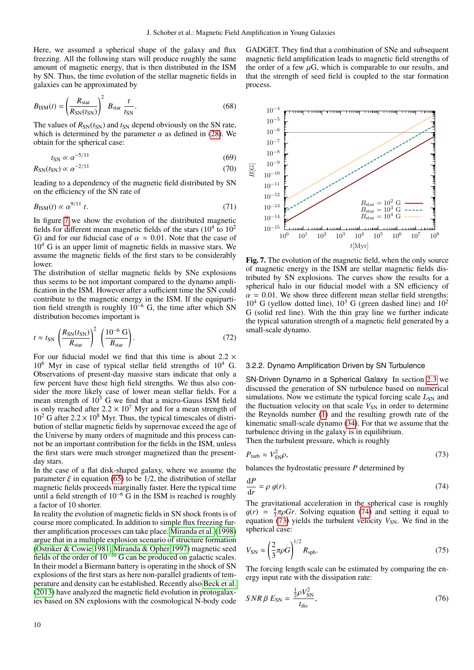Here, we assumed a spherical shape of the galaxy and flux freezing. All the following stars will produce roughly the same amount of magnetic energy, that is then distributed in the ISM by SN. Thus, the time evolution of the stellar magnetic fields in galaxies can be approximated by

$$
B_{\text{ISM}}(t) = \left(\frac{R_{\text{star}}}{R_{\text{SN}}(t_{\text{SN}})}\right)^2 B_{\text{star}} \frac{t}{t_{\text{SN}}}.
$$
 (68)

The values of  $R_{SN}(t_{SN})$  and  $t_{SN}$  depend obviously on the SN rate, which is determined by the parameter  $\alpha$  as defined in [\(28\)](#page-4-5). We obtain for the spherical case:

$$
t_{\rm SN} \propto \alpha^{-5/11} \tag{69}
$$

$$
R_{\rm SN}(t_{\rm SN}) \propto \alpha^{-2/11} \tag{70}
$$

leading to a dependency of the magnetic field distributed by SN on the efficiency of the SN rate of

$$
B_{\text{ISM}}(t) \propto \alpha^{9/11} \, t. \tag{71}
$$

In figure [7](#page-9-0) we show the evolution of the distributed magnetic fields for different mean magnetic fields of the stars  $(10^4$  to  $10^2$ G) and for our fiducial case of  $\alpha \approx 0.01$ . Note that the case of  $10<sup>4</sup>$  G is an upper limit of magnetic fields in massive stars. We assume the magnetic fields of the first stars to be considerably lower.

The distribution of stellar magnetic fields by SNe explosions thus seems to be not important compared to the dynamo amplification in the ISM. However after a sufficient time the SN could contribute to the magnetic energy in the ISM. If the equipartition field strength is roughly  $10^{-6}$  G, the time after which SN distribution becomes important is

$$
t \approx t_{\rm SN} \left(\frac{R_{\rm SN}(t_{\rm SN})}{R_{\rm star}}\right)^2 \left(\frac{10^{-6} \text{ G}}{B_{\rm star}}\right). \tag{72}
$$

For our fiducial model we find that this time is about  $2.2 \times$  $10^6$  Myr in case of typical stellar field strengths of  $10^4$  G. Observations of present-day massive stars indicate that only a few percent have these high field strengths. We thus also consider the more likely case of lower mean stellar fields. For a mean strength of  $10^3$  G we find that a micro-Gauss ISM field is only reached after  $2.2 \times 10^7$  Myr and for a mean strength of  $10^2$  G after  $2.2 \times 10^8$  Myr. Thus, the typical timescales of distribution of stellar magnetic fields by supernovae exceed the age of the Universe by many orders of magnitude and this process cannot be an important contribution for the fields in the ISM, unless the first stars were much stronger magnetized than the presentday stars.

In the case of a flat disk-shaped galaxy, where we assume the parameter  $\xi$  in equation [\(65\)](#page-8-3) to be 1/2, the distribution of stellar magnetic fields proceeds marginally faster. Here the typical time until a field strength of 10<sup>−</sup><sup>6</sup> G in the ISM is reached is roughly a factor of 10 shorter.

In reality the evolution of magnetic fields in SN shock fronts is of course more complicated. In addition to simple flux freezing further amplification processes can take place. [Miranda et al.](#page-12-71) [\(1998\)](#page-12-71) argue that in a multiple explosion scenario of structure formation [\(Ostriker & Cowie 1981;](#page-12-72) [Miranda & Opher 1997\)](#page-12-73) magnetic seed fields of the order of 10<sup>−</sup><sup>10</sup> G can be produced on galactic scales. In their model a Biermann battery is operating in the shock of SN explosions of the first stars as here non-parallel gradients of temperature and density can be established. Recently also [Beck et al.](#page-12-74) [\(2013\)](#page-12-74) have analyzed the magnetic field evolution in protogalaxies based on SN explosions with the cosmological N-body code GADGET. They find that a combination of SNe and subsequent magnetic field amplification leads to magnetic field strengths of the order of a few  $\mu$ G, which is comparable to our results, and that the strength of seed field is coupled to the star formation process.



<span id="page-9-0"></span>Fig. 7. The evolution of the magnetic field, when the only source of magnetic energy in the ISM are stellar magnetic fields distributed by SN explosions. The curves show the results for a spherical halo in our fiducial model with a SN efficiency of  $\alpha = 0.01$ . We show three different mean stellar field strengths:  $10^4$  G (yellow dotted line),  $10^3$  G (green dashed line) and  $10^2$ G (solid red line). With the thin gray line we further indicate the typical saturation strength of a magnetic field generated by a small-scale dynamo.

#### 3.2.2. Dynamo Amplification Driven by SN Turbulence

SN-Driven Dynamo in a Spherical Galaxy In section [2.3](#page-3-2) we discussed the generation of SN turbulence based on numerical simulations. Now we estimate the typical forcing scale  $L_{SN}$  and the fluctuation velocity on that scale  $V_{SN}$  in order to determine the Reynolds number [\(1\)](#page-1-2) and the resulting growth rate of the kinematic small-scale dynamo [\(34\)](#page-4-2). For that we assume that the turbulence driving in the galaxy is in equilibrium.

Then the turbulent pressure, which is roughly

<span id="page-9-2"></span>
$$
P_{\text{turb}} \approx V_{\text{SN}}^2 \rho, \tag{73}
$$

balances the hydrostatic pressure *P* determined by

$$
\frac{\text{d}P}{\text{d}r} = \rho \ g(r). \tag{74}
$$

<span id="page-9-1"></span>The gravitational acceleration in the spherical case is roughly  $g(r) = \frac{4}{3}\pi \rho G r$ . Solving equation [\(74\)](#page-9-1) and setting it equal to equation (73) yields the turbulent velocity  $V_{\text{SM}}$ . We find in the equation  $(73)$  yields the turbulent velocity  $V_{SN}$ . We find in the spherical case:

$$
V_{\rm SN} \approx \left(\frac{2}{3}\pi\rho G\right)^{1/2} R_{\rm sph}.\tag{75}
$$

The forcing length scale can be estimated by comparing the energy input rate with the dissipation rate:

$$
SNR \beta E_{\rm SN} = \frac{\frac{1}{2}\rho V_{\rm SN}^2}{t_{\rm dis}},\tag{76}
$$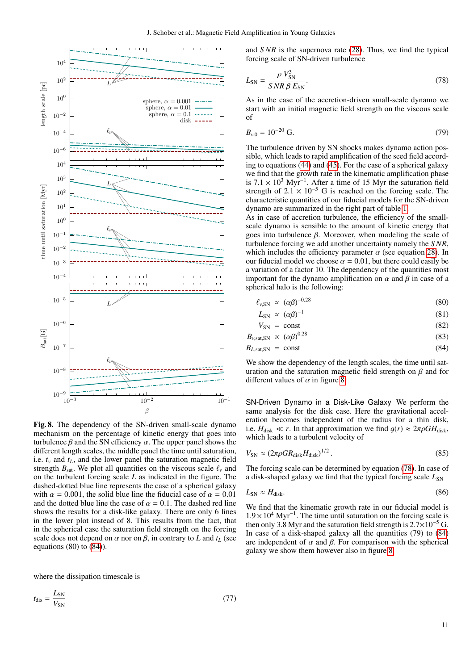

<span id="page-10-1"></span>Fig. 8. The dependency of the SN-driven small-scale dynamo mechanism on the percentage of kinetic energy that goes into turbulence  $\beta$  and the SN efficiency  $\alpha$ . The upper panel shows the different length scales, the middle panel the time until saturation, i.e.  $t_v$  and  $t_l$ , and the lower panel the saturation magnetic field strength  $B_{\text{sat}}$ . We plot all quantities on the viscous scale  $\ell_{\nu}$  and on the turbulent forcing scale *L* as indicated in the figure. The dashed-dotted blue line represents the case of a spherical galaxy with  $\alpha = 0.001$ , the solid blue line the fiducial case of  $\alpha = 0.01$ and the dotted blue line the case of  $\alpha = 0.1$ . The dashed red line shows the results for a disk-like galaxy. There are only 6 lines in the lower plot instead of 8. This results from the fact, that in the spherical case the saturation field strength on the forcing scale does not depend on  $\alpha$  nor on  $\beta$ , in contrary to *L* and  $t_L$  (see equations  $(80)$  to  $(84)$ ).

where the dissipation timescale is

 $t_{\text{dis}} = \frac{L_{\text{SN}}}{V}$  $V_{\rm SN}$  and *S NR* is the supernova rate [\(28\)](#page-4-5). Thus, we find the typical forcing scale of SN-driven turbulence

<span id="page-10-2"></span>
$$
L_{\rm SN} = \frac{\rho V_{\rm SN}^3}{SNR \beta E_{\rm SN}}.\tag{78}
$$

As in the case of the accretion-driven small-scale dynamo we start with an initial magnetic field strength on the viscous scale of

$$
B_{\nu,0} = 10^{-20} \text{ G.}
$$
 (79)

The turbulence driven by SN shocks makes dynamo action possible, which leads to rapid amplification of the seed field according to equations [\(44\)](#page-5-3) and [\(45\)](#page-5-4). For the case of a spherical galaxy we find that the growth rate in the kinematic amplification phase is  $7.1 \times 10^3$  Myr<sup>-1</sup>. After a time of 15 Myr the saturation field<br>strength of  $2.1 \times 10^{-5}$  G is reached on the forcing scale. The strength of  $2.1 \times 10^{-5}$  G is reached on the forcing scale. The characteristic quantities of our fiducial models for the SN-driven dynamo are summarized in the right part of table [1.](#page-7-0)

As in case of accretion turbulence, the efficiency of the smallscale dynamo is sensible to the amount of kinetic energy that goes into turbulence  $\beta$ . Moreover, when modeling the scale of turbulence forcing we add another uncertainty namely the *S NR*, which includes the efficiency parameter  $\alpha$  (see equation [28\)](#page-4-5). In our fiducial model we choose  $\alpha = 0.01$ , but there could easily be a variation of a factor 10. The dependency of the quantities most important for the dynamo amplification on  $\alpha$  and  $\beta$  in case of a spherical halo is the following:

$$
\ell_{\nu, \rm SN} \propto (\alpha \beta)^{-0.28} \tag{80}
$$

<span id="page-10-0"></span>
$$
L_{\rm SN} \propto (\alpha \beta)^{-1} \tag{81}
$$

$$
V_{\rm SN} = \text{const} \tag{82}
$$

 $B_{\nu, \text{sat,SN}} \propto (\alpha \beta)^{0.28}$  $0.28$  (83)

$$
B_{L,\text{sat,SN}} = \text{const} \tag{84}
$$

We show the dependency of the length scales, the time until saturation and the saturation magnetic field strength on  $\beta$  and for different values of  $\alpha$  in figure [8.](#page-10-1)

SN-Driven Dynamo in a Disk-Like Galaxy We perform the same analysis for the disk case. Here the gravitational acceleration becomes independent of the radius for a thin disk, i.e.  $H_{disk} \ll r$ . In that approximation we find  $g(r) \approx 2\pi \rho G H_{disk}$ , which leads to a turbulent velocity of

$$
V_{\rm SN} \approx (2\pi \rho G R_{\rm disk} H_{\rm disk})^{1/2} \,. \tag{85}
$$

The forcing scale can be determined by equation [\(78\)](#page-10-2). In case of a disk-shaped galaxy we find that the typical forcing scale  $L_{SN}$ 

$$
L_{\rm SN} \approx H_{\rm disk}.\tag{86}
$$

We find that the kinematic growth rate in our fiducial model is  $1.9 \times 10^4$  Myr<sup>−1</sup>. The time until saturation on the forcing scale is then only 3.8 Myr and the saturation field strength is 2.7×10<sup>-5</sup> G then only 3.8 Myr and the saturation field strength is  $2.7\times10^{-5}$  G. In case of a disk-shaped galaxy all the quantities (79) to [\(84\)](#page-10-0) are independent of  $\alpha$  and  $\beta$ . For comparison with the spherical galaxy we show them however also in figure [8.](#page-10-1)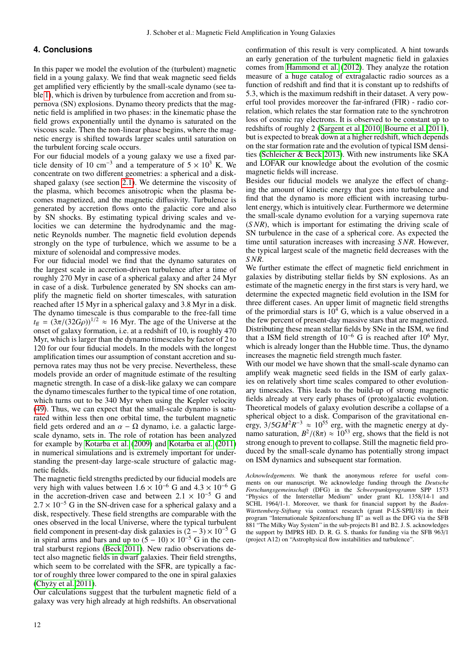# <span id="page-11-0"></span>**4. Conclusions**

In this paper we model the evolution of the (turbulent) magnetic field in a young galaxy. We find that weak magnetic seed fields get amplified very efficiently by the small-scale dynamo (see table [1\)](#page-7-0), which is driven by turbulence from accretion and from supernova (SN) explosions. Dynamo theory predicts that the magnetic field is amplified in two phases: in the kinematic phase the field grows exponentially until the dynamo is saturated on the viscous scale. Then the non-linear phase begins, where the magnetic energy is shifted towards larger scales until saturation on the turbulent forcing scale occurs.

For our fiducial models of a young galaxy we use a fixed particle density of 10 cm<sup>-3</sup> and a temperature of  $5 \times 10^3$  K. We concentrate on two different geometries: a spherical and a diskshaped galaxy (see section [2.1\)](#page-1-3). We determine the viscosity of the plasma, which becomes anisotropic when the plasma becomes magnetized, and the magnetic diffusivity. Turbulence is generated by accretion flows onto the galactic core and also by SN shocks. By estimating typical driving scales and velocities we can determine the hydrodynamic and the magnetic Reynolds number. The magnetic field evolution depends strongly on the type of turbulence, which we assume to be a mixture of solenoidal and compressive modes.

For our fiducial model we find that the dynamo saturates on the largest scale in accretion-driven turbulence after a time of roughly 270 Myr in case of a spherical galaxy and after 24 Myr in case of a disk. Turbulence generated by SN shocks can amplify the magnetic field on shorter timescales, with saturation reached after 15 Myr in a spherical galaxy and 3.8 Myr in a disk. The dynamo timescale is thus comparable to the free-fall time  $t_{\text{ff}} = (3\pi/(32G\rho))^{1/2} \approx 16 \text{ Myr}$ . The age of the Universe at the onset of galaxy formation i.e. at a redshift of 10 is roughly 470 onset of galaxy formation, i.e. at a redshift of 10, is roughly 470 Myr, which is larger than the dynamo timescales by factor of 2 to 120 for our four fiducial models. In the models with the longest amplification times our assumption of constant accretion and supernova rates may thus not be very precise. Nevertheless, these models provide an order of magnitude estimate of the resulting magnetic strength. In case of a disk-like galaxy we can compare the dynamo timescales further to the typical time of one rotation, which turns out to be 340 Myr when using the Kepler velocity [\(49\)](#page-6-3). Thus, we can expect that the small-scale dynamo is saturated within less then one orbital time, the turbulent magnetic field gets ordered and an  $\alpha - \Omega$  dynamo, i.e. a galactic largescale dynamo, sets in. The role of rotation has been analyzed for example by [Kotarba et al.](#page-12-75) [\(2009\)](#page-12-75) and [Kotarba et al.](#page-12-76) [\(2011\)](#page-12-76) in numerical simulations and is extremely important for understanding the present-day large-scale structure of galactic magnetic fields.

The magnetic field strengths predicted by our fiducial models are very high with values between  $1.6 \times 10^{-6}$  G and  $4.3 \times 10^{-6}$  G in the accretion-driven case and between  $2.1 \times 10^{-5}$  G and  $2.7 \times 10^{-5}$  G in the SN-driven case for a spherical galaxy and a disk, respectively. These field strengths are comparable with the ones observed in the local Universe, where the typical turbulent field component in present-day disk galaxies is  $(2 – 3) \times 10^{-5}$  G in spiral arms and bars and up to  $(5 - 10) \times 10^{-5}$  G in the central starburst regions [\(Beck 2011\)](#page-12-1). New radio observations detect also magnetic fields in dwarf galaxies. Their field strengths, which seem to be correlated with the SFR, are typically a factor of roughly three lower compared to the one in spiral galaxies (Chyży et al.  $2011$ ).

Our calculations suggest that the turbulent magnetic field of a galaxy was very high already at high redshifts. An observational confirmation of this result is very complicated. A hint towards an early generation of the turbulent magnetic field in galaxies comes from [Hammond et al.](#page-12-9) [\(2012\)](#page-12-9). They analyze the rotation measure of a huge catalog of extragalactic radio sources as a function of redshift and find that it is constant up to redshifts of 5.3, which is the maximum redshift in their dataset. A very powerful tool provides moreover the far-infrared (FIR) - radio correlation, which relates the star formation rate to the synchrotron loss of cosmic ray electrons. It is observed to be constant up to redshifts of roughly 2 [\(Sargent et al. 2010;](#page-12-10) [Bourne et al. 2011\)](#page-12-11), but is expected to break down at a higher redshift, which depends on the star formation rate and the evolution of typical ISM densities [\(Schleicher & Beck 2013\)](#page-12-13). With new instruments like SKA and LOFAR our knowledge about the evolution of the cosmic magnetic fields will increase.

Besides our fiducial models we analyze the effect of changing the amount of kinetic energy that goes into turbulence and find that the dynamo is more efficient with increasing turbulent energy, which is intuitively clear. Furthermore we determine the small-scale dynamo evolution for a varying supernova rate (*S NR*), which is important for estimating the driving scale of SN turbulence in the case of a spherical core. As expected the time until saturation increases with increasing *S NR*. However, the typical largest scale of the magnetic field decreases with the *S NR*.

We further estimate the effect of magnetic field enrichment in galaxies by distributing stellar fields by SN explosions. As an estimate of the magnetic energy in the first stars is very hard, we determine the expected magnetic field evolution in the ISM for three different cases. An upper limit of magnetic field strengths of the primordial stars is  $10^4$  G, which is a value observed in a the few percent of present-day massive stars that are magnetized. Distributing these mean stellar fields by SNe in the ISM, we find that a ISM field strength of  $10^{-6}$  G is reached after  $10^6$  Myr, which is already longer than the Hubble time. Thus, the dynamo increases the magnetic field strength much faster.

With our model we have shown that the small-scale dynamo can amplify weak magnetic seed fields in the ISM of early galaxies on relatively short time scales compared to other evolutionary timescales. This leads to the build-up of strong magnetic fields already at very early phases of (proto)galactic evolution. Theoretical models of galaxy evolution describe a collapse of a spherical object to a disk. Comparison of the gravitational energy,  $3/5GM^2R^{-3} \approx 10^{55}$  erg, with the magnetic energy at dy-<br>namo saturation  $R^2/(8\pi) \approx 10^{53}$  erg, shows that the field is not namo saturation,  $B^2/(8\pi) \approx 10^{53}$  erg, shows that the field is not<br>strong enough to prevent to collapse. Still the magnetic field prostrong enough to prevent to collapse. Still the magnetic field produced by the small-scale dynamo has potentially strong impact on ISM dynamics and subsequent star formation.

*Acknowledgements.* We thank the anonymous referee for useful comments on our manuscript. We acknowledge funding through the *Deutsche Forschungsgemeinschaft* (DFG) in the *Schwerpunktprogramm* SPP 1573 "Physics of the Interstellar Medium" under grant KL 1358/14-1 and SCHL 1964/1-1. Moreover, we thank for financial support by the *Baden-Württemberg-Stiftung* via contract research (grant P-LS-SPII/18) in their program "Internationale Spitzenforschung II" as well as the DFG via the SFB 881 "The Milky Way System" in the sub-projects B1 and B2. J. S. acknowledges the support by IMPRS HD. D. R. G. S. thanks for funding via the SFB 963/1 (project A12) on "Astrophysical flow instabilities and turbulence".